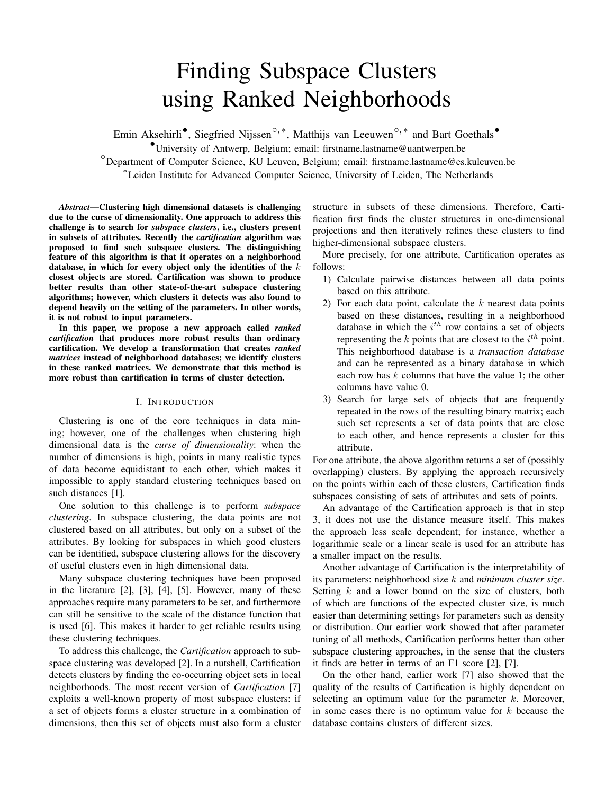# Finding Subspace Clusters using Ranked Neighborhoods

Emin Aksehirli<sup>•</sup>, Siegfried Nijssen<sup>⊙,\*</sup>, Matthijs van Leeuwen<sup>⊙,\*</sup> and Bart Goethals<sup>•</sup>

•University of Antwerp, Belgium; email: firstname.lastname@uantwerpen.be

 $^{\circ}$ Department of Computer Science, KU Leuven, Belgium; email: firstname.lastname@cs.kuleuven.be

∗ Leiden Institute for Advanced Computer Science, University of Leiden, The Netherlands

*Abstract*—Clustering high dimensional datasets is challenging due to the curse of dimensionality. One approach to address this challenge is to search for *subspace clusters*, i.e., clusters present in subsets of attributes. Recently the *cartification* algorithm was proposed to find such subspace clusters. The distinguishing feature of this algorithm is that it operates on a neighborhood database, in which for every object only the identities of the  $k$ closest objects are stored. Cartification was shown to produce better results than other state-of-the-art subspace clustering algorithms; however, which clusters it detects was also found to depend heavily on the setting of the parameters. In other words, it is not robust to input parameters.

In this paper, we propose a new approach called *ranked cartification* that produces more robust results than ordinary cartification. We develop a transformation that creates *ranked matrices* instead of neighborhood databases; we identify clusters in these ranked matrices. We demonstrate that this method is more robust than cartification in terms of cluster detection.

## I. INTRODUCTION

Clustering is one of the core techniques in data mining; however, one of the challenges when clustering high dimensional data is the *curse of dimensionality*: when the number of dimensions is high, points in many realistic types of data become equidistant to each other, which makes it impossible to apply standard clustering techniques based on such distances [1].

One solution to this challenge is to perform *subspace clustering*. In subspace clustering, the data points are not clustered based on all attributes, but only on a subset of the attributes. By looking for subspaces in which good clusters can be identified, subspace clustering allows for the discovery of useful clusters even in high dimensional data.

Many subspace clustering techniques have been proposed in the literature [2], [3], [4], [5]. However, many of these approaches require many parameters to be set, and furthermore can still be sensitive to the scale of the distance function that is used [6]. This makes it harder to get reliable results using these clustering techniques.

To address this challenge, the *Cartification* approach to subspace clustering was developed [2]. In a nutshell, Cartification detects clusters by finding the co-occurring object sets in local neighborhoods. The most recent version of *Cartification* [7] exploits a well-known property of most subspace clusters: if a set of objects forms a cluster structure in a combination of dimensions, then this set of objects must also form a cluster

structure in subsets of these dimensions. Therefore, Cartification first finds the cluster structures in one-dimensional projections and then iteratively refines these clusters to find higher-dimensional subspace clusters.

More precisely, for one attribute, Cartification operates as follows:

- 1) Calculate pairwise distances between all data points based on this attribute.
- 2) For each data point, calculate the  $k$  nearest data points based on these distances, resulting in a neighborhood database in which the  $i^{th}$  row contains a set of objects representing the  $k$  points that are closest to the  $i^{th}$  point. This neighborhood database is a *transaction database* and can be represented as a binary database in which each row has  $k$  columns that have the value 1; the other columns have value 0.
- 3) Search for large sets of objects that are frequently repeated in the rows of the resulting binary matrix; each such set represents a set of data points that are close to each other, and hence represents a cluster for this attribute.

For one attribute, the above algorithm returns a set of (possibly overlapping) clusters. By applying the approach recursively on the points within each of these clusters, Cartification finds subspaces consisting of sets of attributes and sets of points.

An advantage of the Cartification approach is that in step 3, it does not use the distance measure itself. This makes the approach less scale dependent; for instance, whether a logarithmic scale or a linear scale is used for an attribute has a smaller impact on the results.

Another advantage of Cartification is the interpretability of its parameters: neighborhood size k and *minimum cluster size*. Setting  $k$  and a lower bound on the size of clusters, both of which are functions of the expected cluster size, is much easier than determining settings for parameters such as density or distribution. Our earlier work showed that after parameter tuning of all methods, Cartification performs better than other subspace clustering approaches, in the sense that the clusters it finds are better in terms of an F1 score [2], [7].

On the other hand, earlier work [7] also showed that the quality of the results of Cartification is highly dependent on selecting an optimum value for the parameter  $k$ . Moreover, in some cases there is no optimum value for  $k$  because the database contains clusters of different sizes.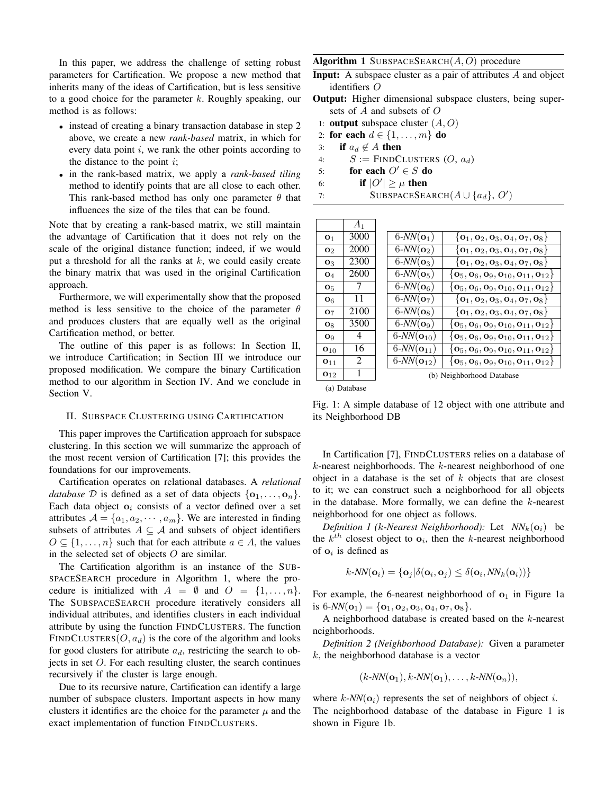In this paper, we address the challenge of setting robust parameters for Cartification. We propose a new method that inherits many of the ideas of Cartification, but is less sensitive to a good choice for the parameter  $k$ . Roughly speaking, our method is as follows:

- instead of creating a binary transaction database in step 2 above, we create a new *rank-based* matrix, in which for every data point  $i$ , we rank the other points according to the distance to the point  $i$ ;
- in the rank-based matrix, we apply a *rank-based tiling* method to identify points that are all close to each other. This rank-based method has only one parameter  $\theta$  that influences the size of the tiles that can be found.

Note that by creating a rank-based matrix, we still maintain the advantage of Cartification that it does not rely on the scale of the original distance function; indeed, if we would put a threshold for all the ranks at  $k$ , we could easily create the binary matrix that was used in the original Cartification approach.

Furthermore, we will experimentally show that the proposed method is less sensitive to the choice of the parameter  $\theta$ and produces clusters that are equally well as the original Cartification method, or better.

The outline of this paper is as follows: In Section II, we introduce Cartification; in Section III we introduce our proposed modification. We compare the binary Cartification method to our algorithm in Section IV. And we conclude in Section V.

## II. SUBSPACE CLUSTERING USING CARTIFICATION

This paper improves the Cartification approach for subspace clustering. In this section we will summarize the approach of the most recent version of Cartification [7]; this provides the foundations for our improvements.

Cartification operates on relational databases. A *relational database*  $D$  is defined as a set of data objects  $\{o_1, \ldots, o_n\}$ . Each data object  $o_i$  consists of a vector defined over a set attributes  $A = \{a_1, a_2, \dots, a_m\}$ . We are interested in finding subsets of attributes  $A \subseteq \mathcal{A}$  and subsets of object identifiers  $O \subseteq \{1, \ldots, n\}$  such that for each attribute  $a \in A$ , the values in the selected set of objects  $O$  are similar.

The Cartification algorithm is an instance of the SUB-SPACESEARCH procedure in Algorithm 1, where the procedure is initialized with  $A = \emptyset$  and  $O = \{1, \ldots, n\}.$ The SUBSPACESEARCH procedure iteratively considers all individual attributes, and identifies clusters in each individual attribute by using the function FINDCLUSTERS. The function FINDCLUSTERS( $O$ ,  $a_d$ ) is the core of the algorithm and looks for good clusters for attribute  $a_d$ , restricting the search to objects in set O. For each resulting cluster, the search continues recursively if the cluster is large enough.

Due to its recursive nature, Cartification can identify a large number of subspace clusters. Important aspects in how many clusters it identifies are the choice for the parameter  $\mu$  and the exact implementation of function FINDCLUSTERS.

Algorithm 1 SUBSPACESEARCH $(A, O)$  procedure

- Input: A subspace cluster as a pair of attributes A and object identifiers O
- Output: Higher dimensional subspace clusters, being supersets of A and subsets of O
	- 1: **output** subspace cluster  $(A, O)$
- 2: for each  $d \in \{1, \ldots, m\}$  do
- 3: if  $a_d \notin A$  then
- 4:  $S := \text{FINDCLUSTERS} (O, a_d)$
- 5: for each  $O' \in S$  do
- 6: if  $|O'|\geq \mu$  then
- 7: SUBSPACESEARCH $(A \cup \{a_d\}, O')$

|                   | $A_1$ |                         |                                                                                                               |
|-------------------|-------|-------------------------|---------------------------------------------------------------------------------------------------------------|
| O <sub>1</sub>    | 3000  | $6-NN(\mathbf{o}_1)$    | $\{o_1, o_2, o_3, o_4, o_7, o_8\}$                                                                            |
| $\mathbf{O}_2$    | 2000  | $6-NN(\mathbf{o}_2)$    | $\{\mathbf{o}_1, \mathbf{o}_2, \mathbf{o}_3, \mathbf{o}_4, \mathbf{o}_7, \mathbf{o}_8\}$                      |
| $\mathbf{O}_3$    | 2300  | $6-NN(\mathbf{o}_3)$    | $\{\mathbf{o}_1, \mathbf{o}_2, \mathbf{o}_3, \mathbf{o}_4, \mathbf{o}_7, \mathbf{o}_8\}$                      |
| $\mathbf{O}_4$    | 2600  | $6-NN(\mathbf{o}_5)$    | $\left\{\mathbf{0}_5, \mathbf{0}_6, \mathbf{0}_9, \mathbf{0}_{10}, \mathbf{0}_{11}, \mathbf{0}_{12} \right\}$ |
| O <sub>5</sub>    |       | $6-NN(O6)$              | $\left\{\mathbf{0}_5, \mathbf{0}_6, \mathbf{0}_9, \mathbf{0}_{10}, \mathbf{0}_{11}, \mathbf{0}_{12}\right\}$  |
| $\mathbf{o}_6$    | 11    | $6-NN(\mathbf{o}_7)$    | $\{o_1, o_2, o_3, o_4, o_7, o_8\}$                                                                            |
| O <sub>7</sub>    | 2100  | $6-NN(\mathbf{o}_8)$    | $\{\mathbf{o}_1, \mathbf{o}_2, \mathbf{o}_3, \mathbf{o}_4, \mathbf{o}_7, \mathbf{o}_8\}$                      |
| $\mathbf{o}_8$    | 3500  | $6-NN(\mathbf{o}_9)$    | $\{{\bf o}_5,{\bf o}_6,{\bf o}_9,{\bf o}_{10},{\bf o}_{11},{\bf o}_{12}\}$                                    |
| $\mathbf{O}_9$    | 4     | $6-NN(\mathbf{o}_{10})$ | $\{{\bf o}_5,{\bf o}_6,{\bf o}_9,{\bf o}_{10},{\bf o}_{11},{\bf o}_{12}\}$                                    |
| $\mathbf{o}_{10}$ | 16    | $6-NN(O_{11})$          | $\{{\bf o}_5,{\bf o}_6,{\bf o}_9,{\bf o}_{10},{\bf o}_{11},{\bf o}_{12}\}$                                    |
| $O_{11}$          | 2     | $6-NN(O_{12})$          | $\{{\bf 0}_5, {\bf 0}_6, {\bf 0}_9, {\bf 0}_{10}, {\bf 0}_{11}, {\bf 0}_{12}\}$                               |
| $\mathbf{0}_{12}$ |       |                         | (b) Neighborhood Database                                                                                     |
|                   |       |                         |                                                                                                               |

(a) Database

Fig. 1: A simple database of 12 object with one attribute and its Neighborhood DB

In Cartification [7], FINDCLUSTERS relies on a database of  $k$ -nearest neighborhoods. The  $k$ -nearest neighborhood of one object in a database is the set of  $k$  objects that are closest to it; we can construct such a neighborhood for all objects in the database. More formally, we can define the  $k$ -nearest neighborhood for one object as follows.

*Definition 1 (k-Nearest Neighborhood):* Let  $NN_k(o_i)$  be the  $k^{th}$  closest object to  $o_i$ , then the k-nearest neighborhood of  $o_i$  is defined as

$$
k\text{-}NN(\mathbf{o}_i) = {\mathbf{o}_j | \delta(\mathbf{o}_i, \mathbf{o}_j)} \leq \delta(\mathbf{o}_i, NN_k(\mathbf{o}_i))}
$$

For example, the 6-nearest neighborhood of  $o_1$  in Figure 1a is  $6-NN(o_1) = \{o_1, o_2, o_3, o_4, o_7, o_8\}.$ 

A neighborhood database is created based on the  $k$ -nearest neighborhoods.

*Definition 2 (Neighborhood Database):* Given a parameter  $k$ , the neighborhood database is a vector

$$
(k\text{-}NN(\mathbf{o}_1),k\text{-}NN(\mathbf{o}_1),\ldots,k\text{-}NN(\mathbf{o}_n)),
$$

where  $k$ -NN( $o_i$ ) represents the set of neighbors of object i. The neighborhood database of the database in Figure 1 is shown in Figure 1b.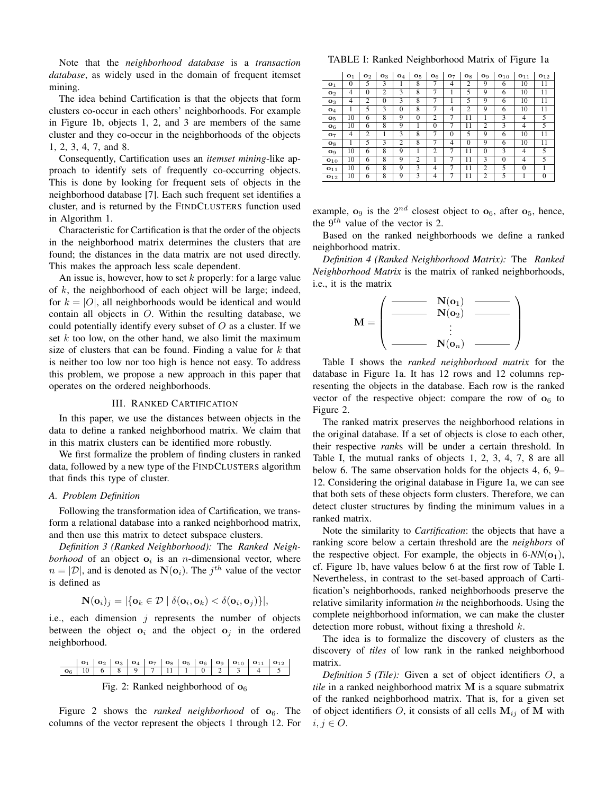Note that the *neighborhood database* is a *transaction database*, as widely used in the domain of frequent itemset mining.

The idea behind Cartification is that the objects that form clusters co-occur in each others' neighborhoods. For example in Figure 1b, objects 1, 2, and 3 are members of the same cluster and they co-occur in the neighborhoods of the objects 1, 2, 3, 4, 7, and 8.

Consequently, Cartification uses an *itemset mining*-like approach to identify sets of frequently co-occurring objects. This is done by looking for frequent sets of objects in the neighborhood database [7]. Each such frequent set identifies a cluster, and is returned by the FINDCLUSTERS function used in Algorithm 1.

Characteristic for Cartification is that the order of the objects in the neighborhood matrix determines the clusters that are found; the distances in the data matrix are not used directly. This makes the approach less scale dependent.

An issue is, however, how to set  $k$  properly: for a large value of  $k$ , the neighborhood of each object will be large; indeed, for  $k = |O|$ , all neighborhoods would be identical and would contain all objects in O. Within the resulting database, we could potentially identify every subset of  $O$  as a cluster. If we set  $k$  too low, on the other hand, we also limit the maximum size of clusters that can be found. Finding a value for  $k$  that is neither too low nor too high is hence not easy. To address this problem, we propose a new approach in this paper that operates on the ordered neighborhoods.

#### III. RANKED CARTIFICATION

In this paper, we use the distances between objects in the data to define a ranked neighborhood matrix. We claim that in this matrix clusters can be identified more robustly.

We first formalize the problem of finding clusters in ranked data, followed by a new type of the FINDCLUSTERS algorithm that finds this type of cluster.

## *A. Problem Definition*

Following the transformation idea of Cartification, we transform a relational database into a ranked neighborhood matrix, and then use this matrix to detect subspace clusters.

*Definition 3 (Ranked Neighborhood):* The *Ranked Neighborhood* of an object  $o_i$  is an *n*-dimensional vector, where  $n = |\mathcal{D}|$ , and is denoted as  $\mathbf{N}(\mathbf{o}_i)$ . The  $j^{th}$  value of the vector is defined as

$$
\mathbf{N}(\mathbf{o}_i)_j = |\{\mathbf{o}_k \in \mathcal{D} \mid \delta(\mathbf{o}_i, \mathbf{o}_k) < \delta(\mathbf{o}_i, \mathbf{o}_j)\}|,
$$

i.e., each dimension  $j$  represents the number of objects between the object  $o_i$  and the object  $o_j$  in the ordered neighborhood.

o<sup>1</sup> o<sup>2</sup> o<sup>3</sup> o<sup>4</sup> o<sup>7</sup> o<sup>8</sup> o<sup>5</sup> o<sup>6</sup> o<sup>9</sup> o<sup>10</sup> o<sup>11</sup> o<sup>12</sup> o<sup>6</sup> 10 6 8 9 7 11 1 0 2 3 4 5



Figure 2 shows the *ranked neighborhood* of  $o_6$ . The columns of the vector represent the objects 1 through 12. For

TABLE I: Ranked Neighborhood Matrix of Figure 1a

|                   | O <sub>1</sub> | O <sub>2</sub> | $\mathbf{O}_3$          | O <sub>4</sub> | O <sub>5</sub> | O <sub>6</sub> | <b>O</b> 7     | $\mathbf{O}8$  | O <sub>9</sub> | $\mathbf{O}_{10}$ | O <sub>11</sub> | O <sub>12</sub> |
|-------------------|----------------|----------------|-------------------------|----------------|----------------|----------------|----------------|----------------|----------------|-------------------|-----------------|-----------------|
| O <sub>1</sub>    | $\Omega$       | 5              | 3                       |                | 8              | 7              | 4              | 2              | 9              | 6                 | 10              | 11              |
| $\mathbf{o}_2$    | 4              | $\Omega$       | $\overline{c}$          | 3              | $\overline{8}$ | 7              |                | 5              | 9              | 6                 | 10              | 11              |
| $\mathbf{O}3$     | 4              | $\overline{c}$ | $\theta$                | 3              | 8              | 7              |                | 5              | 9              | 6                 | 10              | 11              |
| O <sub>4</sub>    |                | 5              | 3                       | $\theta$       | 8              | 7              | 4              | $\overline{c}$ | 9              | 6                 | 10              | 11              |
| O <sub>5</sub>    | 10             | 6              | 8                       | 9              | $\Omega$       | 2              | 7              | 11             |                | 3                 | 4               | 5               |
| $\mathbf{O}_6$    | 10             | 6              | 8                       | 9              |                | $\theta$       | 7              | 11             | 2              | 3                 | $\overline{4}$  | 5               |
| O <sub>7</sub>    | 4              | $\overline{2}$ | 1                       | 3              | 8              | 7              | $\overline{0}$ | 5              | 9              | 6                 | 10              | 11              |
| $\mathbf{o}_8$    |                | 5              | 3                       | $\overline{2}$ | 8              | 7              | 4              | $\theta$       | 9              | 6                 | 10              | 11              |
| O <sub>9</sub>    | 10             | 6              | 8                       | 9              |                | $\overline{2}$ | 7              | 11             | $\theta$       | 3                 | 4               | 5               |
| $\mathbf{o}_{10}$ | 10             | 6              | 8                       | 9              | $\overline{2}$ |                | 7              | 11             | 3              | $\theta$          | $\overline{4}$  | 5               |
| $O_{11}$          | 10             | $\overline{6}$ | 8                       | 9              | $\overline{3}$ | $\overline{4}$ | 7              | 11             | 2              | 5                 | $\theta$        |                 |
| $\mathbf{o}_{12}$ | 10             | 6              | $\overline{\mathbf{8}}$ | 9              | 3              | $\overline{4}$ | 7              | 11             | $\overline{c}$ | 5                 |                 | $\Omega$        |

example,  $\mathbf{o}_9$  is the  $2^{nd}$  closest object to  $\mathbf{o}_6$ , after  $\mathbf{o}_5$ , hence, the  $9^{th}$  value of the vector is 2.

Based on the ranked neighborhoods we define a ranked neighborhood matrix.

*Definition 4 (Ranked Neighborhood Matrix):* The *Ranked Neighborhood Matrix* is the matrix of ranked neighborhoods, i.e., it is the matrix

$$
\mathbf{M} = \left(\begin{array}{c|c} \mathbf{M}(\mathbf{o}_1) & \mathbf{---} \\ \hline \mathbf{N}(\mathbf{o}_2) & \mathbf{---} \\ \vdots & \vdots \\ \mathbf{N}(\mathbf{o}_n) & \mathbf{---}\end{array}\right)
$$

Table I shows the *ranked neighborhood matrix* for the database in Figure 1a. It has 12 rows and 12 columns representing the objects in the database. Each row is the ranked vector of the respective object: compare the row of  $o_6$  to Figure 2.

The ranked matrix preserves the neighborhood relations in the original database. If a set of objects is close to each other, their respective *rank*s will be under a certain threshold. In Table I, the mutual ranks of objects 1, 2, 3, 4, 7, 8 are all below 6. The same observation holds for the objects 4, 6, 9– 12. Considering the original database in Figure 1a, we can see that both sets of these objects form clusters. Therefore, we can detect cluster structures by finding the minimum values in a ranked matrix.

Note the similarity to *Cartification*: the objects that have a ranking score below a certain threshold are the *neighbors* of the respective object. For example, the objects in  $6-NN(\mathbf{o}_1)$ , cf. Figure 1b, have values below 6 at the first row of Table I. Nevertheless, in contrast to the set-based approach of Cartification's neighborhoods, ranked neighborhoods preserve the relative similarity information *in* the neighborhoods. Using the complete neighborhood information, we can make the cluster detection more robust, without fixing a threshold  $k$ .

The idea is to formalize the discovery of clusters as the discovery of *tiles* of low rank in the ranked neighborhood matrix.

*Definition 5 (Tile):* Given a set of object identifiers O, a *tile* in a ranked neighborhood matrix M is a square submatrix of the ranked neighborhood matrix. That is, for a given set of object identifiers  $O$ , it consists of all cells  $M_{ij}$  of M with  $i, j \in O$ .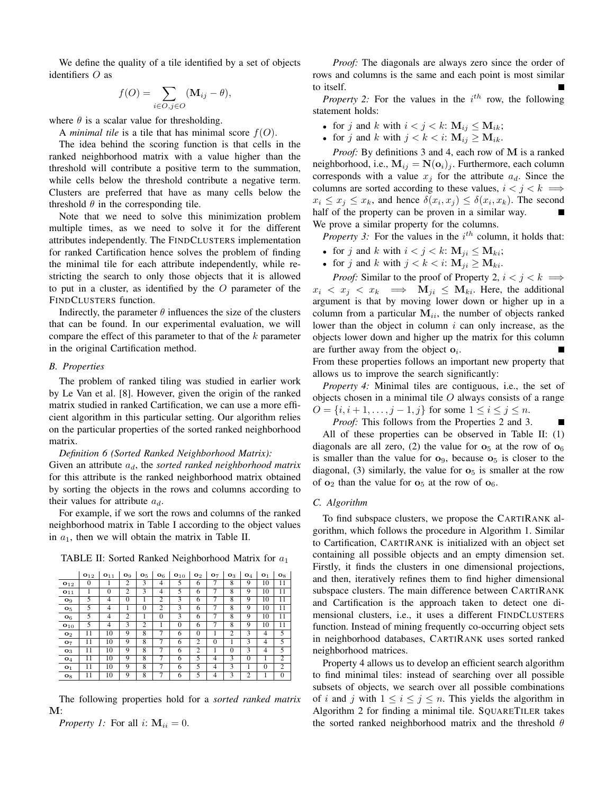We define the quality of a tile identified by a set of objects identifiers O as

$$
f(O) = \sum_{i \in O, j \in O} (\mathbf{M}_{ij} - \theta),
$$

where  $\theta$  is a scalar value for thresholding.

A *minimal tile* is a tile that has minimal score  $f(O)$ .

The idea behind the scoring function is that cells in the ranked neighborhood matrix with a value higher than the threshold will contribute a positive term to the summation, while cells below the threshold contribute a negative term. Clusters are preferred that have as many cells below the threshold  $\theta$  in the corresponding tile.

Note that we need to solve this minimization problem multiple times, as we need to solve it for the different attributes independently. The FINDCLUSTERS implementation for ranked Cartification hence solves the problem of finding the minimal tile for each attribute independently, while restricting the search to only those objects that it is allowed to put in a cluster, as identified by the  $O$  parameter of the FINDCLUSTERS function.

Indirectly, the parameter  $\theta$  influences the size of the clusters that can be found. In our experimental evaluation, we will compare the effect of this parameter to that of the  $k$  parameter in the original Cartification method.

### *B. Properties*

The problem of ranked tiling was studied in earlier work by Le Van et al. [8]. However, given the origin of the ranked matrix studied in ranked Cartification, we can use a more efficient algorithm in this particular setting. Our algorithm relies on the particular properties of the sorted ranked neighborhood matrix.

*Definition 6 (Sorted Ranked Neighborhood Matrix):* Given an attribute  $a_d$ , the *sorted ranked neighborhood matrix* for this attribute is the ranked neighborhood matrix obtained by sorting the objects in the rows and columns according to their values for attribute  $a_d$ .

For example, if we sort the rows and columns of the ranked neighborhood matrix in Table I according to the object values in  $a_1$ , then we will obtain the matrix in Table II.

| TABLE II: Sorted Ranked Neighborhood Matrix for $a_1$ |  |  |  |  |
|-------------------------------------------------------|--|--|--|--|
|-------------------------------------------------------|--|--|--|--|

|                       | $\mathbf{o}_{12}$ | $\mathbf{o}_{11}$ | $\mathbf{o}_9$ | $\mathbf{o}_5$          | O <sub>6</sub> | $\mathbf{o}_{10}$ | $\mathbf{O}_2$ | O <sub>7</sub> | $\mathbf{o}_3$ | $\mathbf{o}_4$ | O <sub>1</sub> | $\mathbf{o}_8$ |
|-----------------------|-------------------|-------------------|----------------|-------------------------|----------------|-------------------|----------------|----------------|----------------|----------------|----------------|----------------|
| $\mathbf{O}_{12}$     | $\Omega$          |                   | $\overline{c}$ | 3                       | 4              | 5                 | 6              | 7              | 8              | 9              | 10             | 11             |
| $\mathbf{o}_{11}$     | 1                 | $\theta$          | $\overline{c}$ | 3                       | 4              | 5                 | 6              | 7              | 8              | 9              | 10             | 11             |
| O <sub>9</sub>        | 5                 | 4                 | $\theta$       | 1                       | 2              | 3                 | 6              | 7              | 8              | 9              | 10             | 11             |
| <b>O</b> <sub>5</sub> | 5                 | 4                 | 1              | $\mathbf{0}$            | $\overline{2}$ | 3                 | 6              | 7              | 8              | 9              | 10             | 11             |
| O <sub>6</sub>        | 5                 | 4                 | $\overline{c}$ | 1                       | $\theta$       | 3                 | 6              | 7              | 8              | 9              | 10             | 11             |
| $\mathbf{o}_{10}$     | 5                 | 4                 | 3              | 2                       | 1              | $\theta$          | 6              | 7              | $\overline{8}$ | 9              | 10             | 11             |
| O <sub>2</sub>        | 11                | 10                | 9              | 8                       | 7              | 6                 | $\theta$       |                | $\overline{c}$ | 3              | $\overline{4}$ | 5              |
| O <sub>7</sub>        | 11                | 10                | 9              | 8                       | 7              | 6                 | $\overline{2}$ | $\theta$       |                | 3              | $\overline{4}$ | 5              |
| O <sub>3</sub>        | 11                | 10                | 9              | $\overline{\mathbf{8}}$ | 7              | 6                 | 2              |                | $\theta$       | 3              | $\overline{4}$ | 5              |
| $\mathbf{O}_4$        | 11                | 10                | 9              | 8                       | 7              | 6                 | 5              | 4              | 3              | $\theta$       | 1              | $\overline{c}$ |
| O <sub>1</sub>        | 11                | 10                | 9              | 8                       | 7              | 6                 | 5              | $\overline{4}$ | 3              |                | $\theta$       | $\overline{c}$ |
| $O_8$                 | 11                | 10                | 9              | 8                       | 7              | 6                 | 5              | 4              | 3              | 2              |                | $\theta$       |

The following properties hold for a *sorted ranked matrix* M:

*Property 1:* For all i:  $M_{ii} = 0$ .

*Proof:* The diagonals are always zero since the order of rows and columns is the same and each point is most similar to itself.

*Property 2:* For the values in the  $i^{th}$  row, the following statement holds:

- for j and k with  $i < j < k$ :  $M_{ij} \le M_{ik}$ ;
- for j and k with  $j < k < i$ :  $M_{ij} \ge M_{ik}$ .

*Proof:* By definitions 3 and 4, each row of M is a ranked neighborhood, i.e.,  $\mathbf{M}_{ij} = \mathbf{N}(\mathbf{o}_i)_j$ . Furthermore, each column corresponds with a value  $x_j$  for the attribute  $a_d$ . Since the columns are sorted according to these values,  $i < j < k \implies$  $x_i \leq x_j \leq x_k$ , and hence  $\delta(x_i, x_j) \leq \delta(x_i, x_k)$ . The second half of the property can be proven in a similar way. We prove a similar property for the columns.

*Property 3:* For the values in the  $i^{th}$  column, it holds that:

- for j and k with  $i < j < k$ :  $M_{ii} \le M_{ki}$ ;
- for j and k with  $j < k < i$ :  $M_{ji} \ge M_{ki}$ .

*Proof:* Similar to the proof of Property 2,  $i < j < k \implies$  $x_i \leq x_j \leq x_k \implies \mathbf{M}_{ji} \leq \mathbf{M}_{ki}$ . Here, the additional argument is that by moving lower down or higher up in a column from a particular  $M_{ii}$ , the number of objects ranked lower than the object in column  $i$  can only increase, as the objects lower down and higher up the matrix for this column are further away from the object  $o_i$ . From these properties follows an important new property that

allows us to improve the search significantly: *Property 4:* Minimal tiles are contiguous, i.e., the set of

objects chosen in a minimal tile  $O$  always consists of a range  $O = \{i, i+1, \ldots, j-1, j\}$  for some  $1 \le i \le j \le n$ .

*Proof:* This follows from the Properties 2 and 3.

П

All of these properties can be observed in Table II: (1) diagonals are all zero, (2) the value for  $\mathbf{o}_5$  at the row of  $\mathbf{o}_6$ is smaller than the value for  $o_9$ , because  $o_5$  is closer to the diagonal, (3) similarly, the value for  $\sigma_5$  is smaller at the row of  $o_2$  than the value for  $o_5$  at the row of  $o_6$ .

### *C. Algorithm*

To find subspace clusters, we propose the CARTIRANK algorithm, which follows the procedure in Algorithm 1. Similar to Cartification, CARTIRANK is initialized with an object set containing all possible objects and an empty dimension set. Firstly, it finds the clusters in one dimensional projections, and then, iteratively refines them to find higher dimensional subspace clusters. The main difference between CARTIRANK and Cartification is the approach taken to detect one dimensional clusters, i.e., it uses a different FINDCLUSTERS function. Instead of mining frequently co-occurring object sets in neighborhood databases, CARTIRANK uses sorted ranked neighborhood matrices.

Property 4 allows us to develop an efficient search algorithm to find minimal tiles: instead of searching over all possible subsets of objects, we search over all possible combinations of i and j with  $1 \leq i \leq j \leq n$ . This yields the algorithm in Algorithm 2 for finding a minimal tile. SQUARETILER takes the sorted ranked neighborhood matrix and the threshold  $\theta$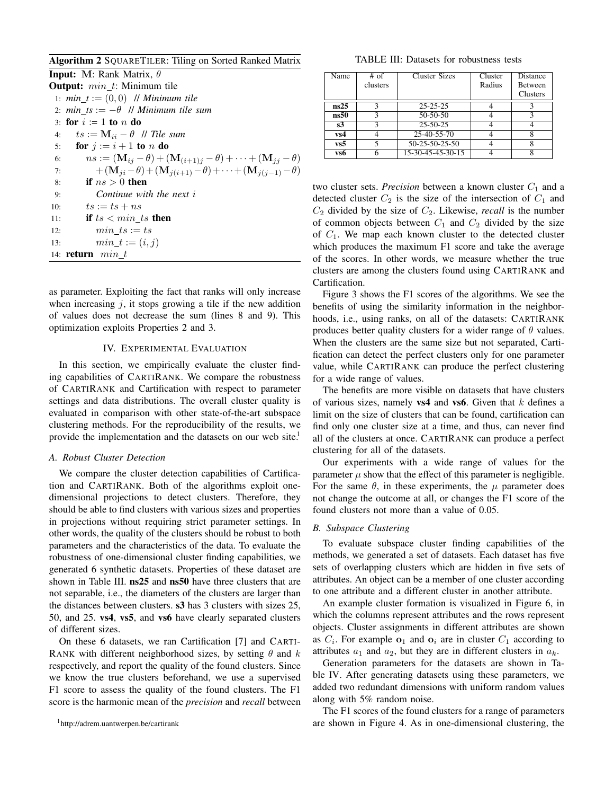Algorithm 2 SQUARETILER: Tiling on Sorted Ranked Matrix

| <b>Input:</b> M: Rank Matrix, $\theta$                                                    |  |
|-------------------------------------------------------------------------------------------|--|
| <b>Output:</b> $min\_t$ : Minimum tile                                                    |  |
| 1: $min_t := (0,0)$ // Minimum tile                                                       |  |
| 2: $min\_ts := -\theta$ // Minimum tile sum                                               |  |
| 3: for $i := 1$ to n do                                                                   |  |
| $ts := \mathbf{M}_{ii} - \theta$ // Tile sum<br>4:                                        |  |
| for $j := i + 1$ to n do<br>5:                                                            |  |
| $ns := (M_{ij} - \theta) + (M_{(i+1)j} - \theta) + \cdots + (M_{jj} - \theta)$<br>6:      |  |
| $+({\bf M}_{ii}-\theta)+({\bf M}_{i(i+1)}-\theta)+\cdots+({\bf M}_{i(i-1)}-\theta)$<br>7: |  |
| if $ns > 0$ then<br>8:                                                                    |  |
| Continue with the next $i$<br>9:                                                          |  |
| $ts := ts + ns$<br>10:                                                                    |  |
| if $ts < min\_ts$ then<br>11:                                                             |  |
| $min$ $ts := ts$<br>12:                                                                   |  |
| $min_t := (i, j)$<br>13:                                                                  |  |
| 14: <b>return</b> $min$ $t$                                                               |  |

as parameter. Exploiting the fact that ranks will only increase when increasing  $j$ , it stops growing a tile if the new addition of values does not decrease the sum (lines 8 and 9). This optimization exploits Properties 2 and 3.

# IV. EXPERIMENTAL EVALUATION

In this section, we empirically evaluate the cluster finding capabilities of CARTIRANK. We compare the robustness of CARTIRANK and Cartification with respect to parameter settings and data distributions. The overall cluster quality is evaluated in comparison with other state-of-the-art subspace clustering methods. For the reproducibility of the results, we provide the implementation and the datasets on our web site.<sup>1</sup>

#### *A. Robust Cluster Detection*

We compare the cluster detection capabilities of Cartification and CARTIRANK. Both of the algorithms exploit onedimensional projections to detect clusters. Therefore, they should be able to find clusters with various sizes and properties in projections without requiring strict parameter settings. In other words, the quality of the clusters should be robust to both parameters and the characteristics of the data. To evaluate the robustness of one-dimensional cluster finding capabilities, we generated 6 synthetic datasets. Properties of these dataset are shown in Table III. ns25 and ns50 have three clusters that are not separable, i.e., the diameters of the clusters are larger than the distances between clusters. s3 has 3 clusters with sizes 25, 50, and 25. vs4, vs5, and vs6 have clearly separated clusters of different sizes.

On these 6 datasets, we ran Cartification [7] and CARTI-RANK with different neighborhood sizes, by setting  $\theta$  and k respectively, and report the quality of the found clusters. Since we know the true clusters beforehand, we use a supervised F1 score to assess the quality of the found clusters. The F1 score is the harmonic mean of the *precision* and *recall* between

TABLE III: Datasets for robustness tests

| Name | $#$ of   | <b>Cluster Sizes</b> | Cluster | Distance       |
|------|----------|----------------------|---------|----------------|
|      | clusters |                      | Radius  | <b>Between</b> |
|      |          |                      |         | Clusters       |
| ns25 | κ        | $25 - 25 - 25$       |         |                |
| ns50 |          | 50-50-50             |         |                |
| s3   |          | $25 - 50 - 25$       |         |                |
| vs4  |          | $25-40-55-70$        |         | δ              |
| vs5  |          | 50-25-50-25-50       |         |                |
| vs6  |          | 15-30-45-45-30-15    |         |                |

two cluster sets. *Precision* between a known cluster  $C_1$  and a detected cluster  $C_2$  is the size of the intersection of  $C_1$  and  $C_2$  divided by the size of  $C_2$ . Likewise, *recall* is the number of common objects between  $C_1$  and  $C_2$  divided by the size of  $C_1$ . We map each known cluster to the detected cluster which produces the maximum F1 score and take the average of the scores. In other words, we measure whether the true clusters are among the clusters found using CARTIRANK and Cartification.

Figure 3 shows the F1 scores of the algorithms. We see the benefits of using the similarity information in the neighborhoods, i.e., using ranks, on all of the datasets: CARTIRANK produces better quality clusters for a wider range of  $\theta$  values. When the clusters are the same size but not separated, Cartification can detect the perfect clusters only for one parameter value, while CARTIRANK can produce the perfect clustering for a wide range of values.

The benefits are more visible on datasets that have clusters of various sizes, namely **vs4** and **vs6**. Given that  $k$  defines a limit on the size of clusters that can be found, cartification can find only one cluster size at a time, and thus, can never find all of the clusters at once. CARTIRANK can produce a perfect clustering for all of the datasets.

Our experiments with a wide range of values for the parameter  $\mu$  show that the effect of this parameter is negligible. For the same  $\theta$ , in these experiments, the  $\mu$  parameter does not change the outcome at all, or changes the F1 score of the found clusters not more than a value of 0.05.

## *B. Subspace Clustering*

To evaluate subspace cluster finding capabilities of the methods, we generated a set of datasets. Each dataset has five sets of overlapping clusters which are hidden in five sets of attributes. An object can be a member of one cluster according to one attribute and a different cluster in another attribute.

An example cluster formation is visualized in Figure 6, in which the columns represent attributes and the rows represent objects. Cluster assignments in different attributes are shown as  $C_i$ . For example  $o_1$  and  $o_i$  are in cluster  $C_1$  according to attributes  $a_1$  and  $a_2$ , but they are in different clusters in  $a_k$ .

Generation parameters for the datasets are shown in Table IV. After generating datasets using these parameters, we added two redundant dimensions with uniform random values along with 5% random noise.

The F1 scores of the found clusters for a range of parameters are shown in Figure 4. As in one-dimensional clustering, the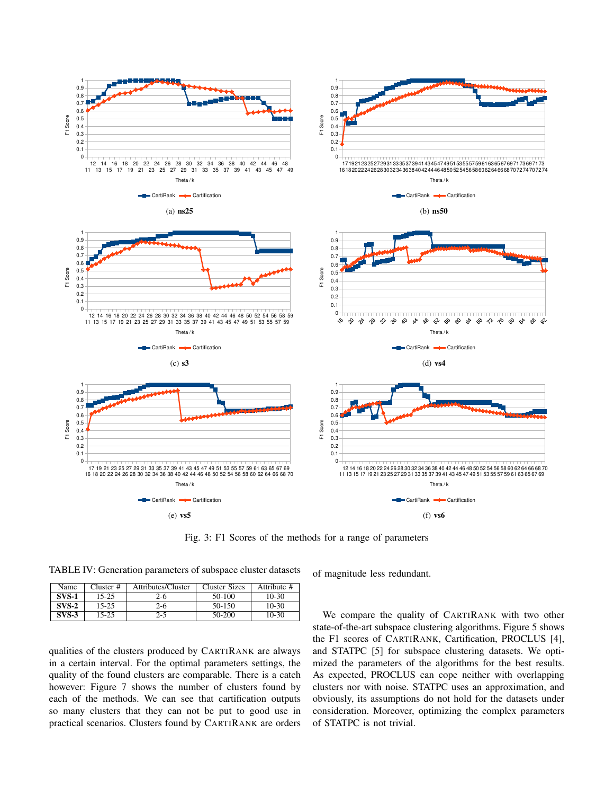

Fig. 3: F1 Scores of the methods for a range of parameters

TABLE IV: Generation parameters of subspace cluster datasets

| Name    | Cluster # | Attributes/Cluster | Cluster Sizes | Attribute # |
|---------|-----------|--------------------|---------------|-------------|
| $SVS-1$ | $15 - 25$ | 2-6                | 50-100        | $10-30$     |
| $SVS-2$ | 15-25     | 2-6                | 50-150        | $10-30$     |
| $SVS-3$ | 15-25     | 2-5                | 50-200        | $10-30$     |

qualities of the clusters produced by CARTIRANK are always in a certain interval. For the optimal parameters settings, the quality of the found clusters are comparable. There is a catch however: Figure 7 shows the number of clusters found by each of the methods. We can see that cartification outputs so many clusters that they can not be put to good use in practical scenarios. Clusters found by CARTIRANK are orders of magnitude less redundant.

We compare the quality of CARTIRANK with two other state-of-the-art subspace clustering algorithms. Figure 5 shows the F1 scores of CARTIRANK, Cartification, PROCLUS [4], and STATPC [5] for subspace clustering datasets. We optimized the parameters of the algorithms for the best results. As expected, PROCLUS can cope neither with overlapping clusters nor with noise. STATPC uses an approximation, and obviously, its assumptions do not hold for the datasets under consideration. Moreover, optimizing the complex parameters of STATPC is not trivial.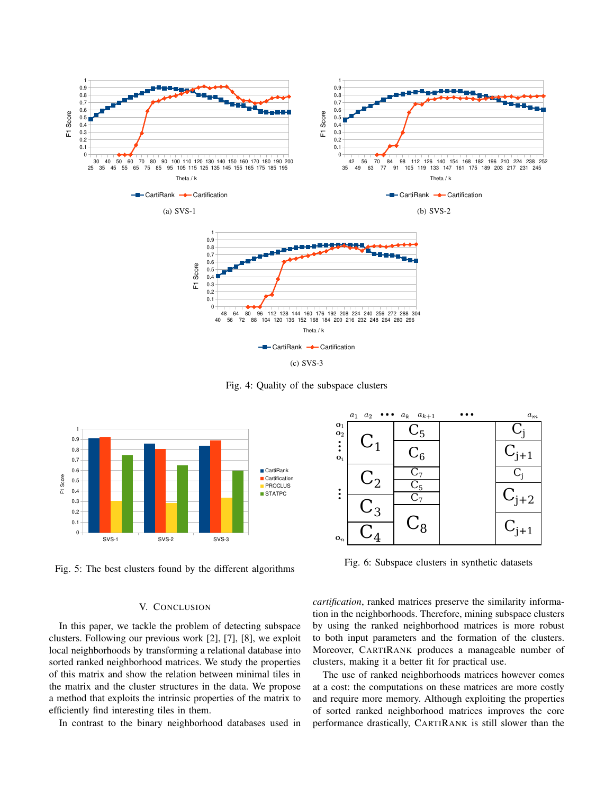

Fig. 4: Quality of the subspace clusters



Fig. 5: The best clusters found by the different algorithms

# V. CONCLUSION

In this paper, we tackle the problem of detecting subspace clusters. Following our previous work [2], [7], [8], we exploit local neighborhoods by transforming a relational database into sorted ranked neighborhood matrices. We study the properties of this matrix and show the relation between minimal tiles in the matrix and the cluster structures in the data. We propose a method that exploits the intrinsic properties of the matrix to efficiently find interesting tiles in them.

In contrast to the binary neighborhood databases used in



Fig. 6: Subspace clusters in synthetic datasets

*cartification*, ranked matrices preserve the similarity information in the neighborhoods. Therefore, mining subspace clusters by using the ranked neighborhood matrices is more robust to both input parameters and the formation of the clusters. Moreover, CARTIRANK produces a manageable number of clusters, making it a better fit for practical use.

The use of ranked neighborhoods matrices however comes at a cost: the computations on these matrices are more costly and require more memory. Although exploiting the properties of sorted ranked neighborhood matrices improves the core performance drastically, CARTIRANK is still slower than the